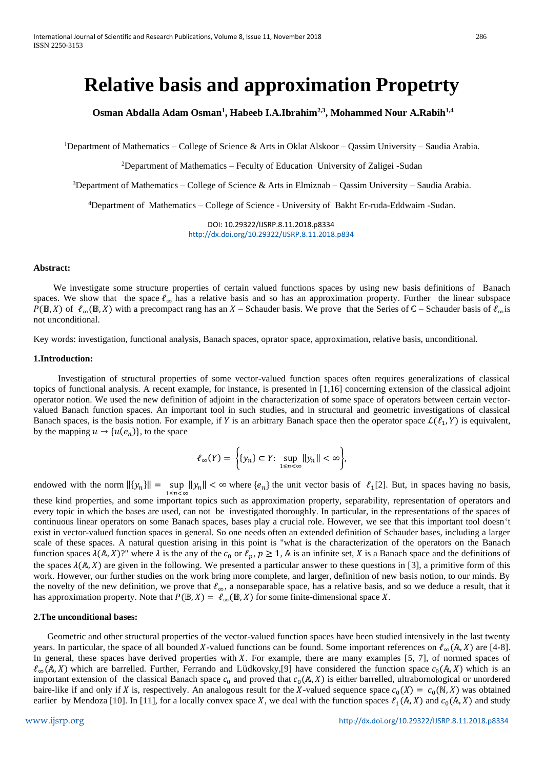# **Relative basis and approximation Propetrty**

**Osman Abdalla Adam Osman<sup>1</sup> , Habeeb I.A.Ibrahim2,3 , Mohammed Nour A.Rabih1,4**

<sup>1</sup>Department of Mathematics – College of Science & Arts in Oklat Alskoor – Qassim University – Saudia Arabia.

<sup>2</sup>Department of Mathematics – Feculty of Education University of Zaligei -Sudan

<sup>3</sup>Department of Mathematics – College of Science & Arts in Elmiznab – Qassim University – Saudia Arabia.

<sup>4</sup>Department of Mathematics – College of Science - University of Bakht Er-ruda-Eddwaim -Sudan.

DOI: 10.29322/IJSRP.8.11.2018.p8334 <http://dx.doi.org/10.29322/IJSRP.8.11.2018.p834>

#### **Abstract:**

 We investigate some structure properties of certain valued functions spaces by using new basis definitions of Banach spaces. We show that the space  $\ell_{\infty}$  has a relative basis and so has an approximation property. Further the linear subspace  $P(\mathbb{B}, X)$  of  $\ell_{\infty}(\mathbb{B}, X)$  with a precompact rang has an X – Schauder basis. We prove that the Series of  $\mathbb{C}$  – Schauder basis of  $\ell_{\infty}$ is not unconditional.

Key words: investigation, functional analysis, Banach spaces, oprator space, approximation, relative basis, unconditional.

# **1.Introduction:**

 Investigation of structural properties of some vector-valued function spaces often requires generalizations of classical topics of functional analysis. A recent example, for instance, is presented in [1,16] concerning extension of the classical adjoint operator notion. We used the new definition of adjoint in the characterization of some space of operators between certain vectorvalued Banach function spaces. An important tool in such studies, and in structural and geometric investigations of classical Banach spaces, is the basis notion. For example, if Y is an arbitrary Banach space then the operator space  $\mathcal{L}(\ell_1, Y)$  is equivalent, by the mapping  $u \to \{u(e_n)\}\)$ , to the space

$$
\ell_{\infty}(Y) = \left\{ \{y_n\} \subset Y: \sup_{1 \leq n < \infty} \|y_n\| < \infty \right\},\
$$

endowed with the norm  $||{y_n}|| = \sup ||y_n|| < \infty$  where  ${e_n}$  the unit vector basis of  $\ell_1[2]$ . But, in spaces having no basis, 1  $\leq n \leq \alpha$ 

these kind properties, and some important topics such as approximation property, separability, representation of operators and every topic in which the bases are used, can not be investigated thoroughly. In particular, in the representations of the spaces of continuous linear operators on some Banach spaces, bases play a crucial role. However, we see that this important tool doesn 't exist in vector-valued function spaces in general. So one needs often an extended definition of Schauder bases, including a larger scale of these spaces. A natural question arising in this point is "what is the characterization of the operators on the Banach function spaces  $\lambda(A, X)$ ?" where  $\lambda$  is the any of the  $c_0$  or  $\ell_p$ ,  $p \ge 1$ ,  $\lambda$  is an infinite set,  $X$  is a Banach space and the definitions of the spaces  $\lambda(A, X)$  are given in the following. We presented a particular answer to these questions in [3], a primitive form of this work. However, our further studies on the work bring more complete, and larger, definition of new basis notion, to our minds. By the novelty of the new definition, we prove that  $\ell_{\infty}$ , a nonseparable space, has a relative basis, and so we deduce a result, that it has approximation property. Note that  $P(\mathbb{B}, X) = \ell_{\infty}(\mathbb{B}, X)$  for some finite-dimensional space X.

#### **2.The unconditional bases:**

 Geometric and other structural properties of the vector-valued function spaces have been studied intensively in the last twenty years. In particular, the space of all bounded X-valued functions can be found. Some important references on  $\ell_{\infty}(\mathbb{A}, X)$  are [4-8]. In general, these spaces have derived properties with X. For example, there are many examples  $[5, 7]$ , of normed spaces of  $\ell_{\infty}(\mathbb{A}, X)$  which are barrelled. Further, Ferrando and Lüdkovsky,[9] have considered the function space  $c_0(\mathbb{A}, X)$  which is an important extension of the classical Banach space  $c_0$  and proved that  $c_0(A, X)$  is either barrelled, ultrabornological or unordered baire-like if and only if X is, respectively. An analogous result for the X-valued sequence space  $c_0(X) = c_0(N, X)$  was obtained earlier by Mendoza [10]. In [11], for a locally convex space X, we deal with the function spaces  $\ell_1(A, X)$  and  $c_0(A, X)$  and study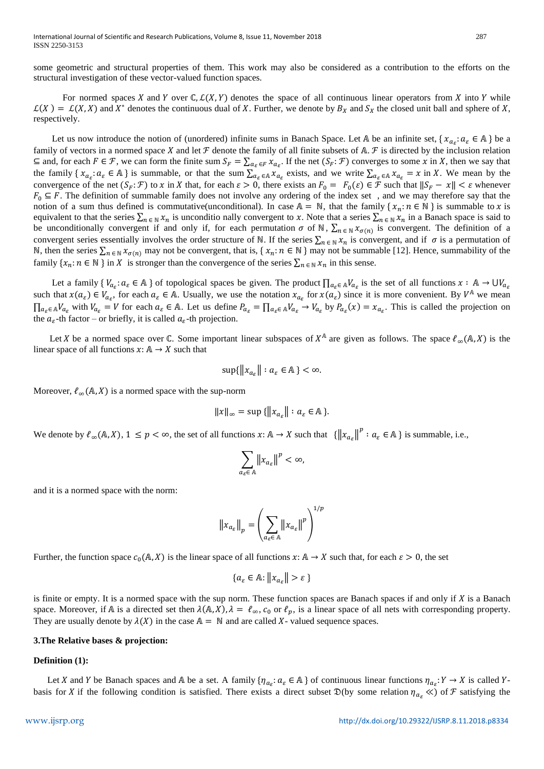some geometric and structural properties of them. This work may also be considered as a contribution to the efforts on the structural investigation of these vector-valued function spaces.

For normed spaces X and Y over  $\mathbb{C}, \mathcal{L}(X, Y)$  denotes the space of all continuous linear operators from X into Y while  $\mathcal{L}(X) = \mathcal{L}(X, X)$  and  $X^*$  denotes the continuous dual of X. Further, we denote by  $B_X$  and  $S_X$  the closed unit ball and sphere of X, respectively.

Let us now introduce the notion of (unordered) infinite sums in Banach Space. Let A be an infinite set,  $\{x_{a_{\varepsilon}}: a_{\varepsilon} \in A\}$  be a family of vectors in a normed space X and let  $\mathcal F$  denote the family of all finite subsets of A.  $\mathcal F$  is directed by the inclusion relation  $\subseteq$  and, for each  $F \in \mathcal{F}$ , we can form the finite sum  $S_F = \sum_{\alpha_{\varepsilon} \in F} x_{\alpha_{\varepsilon}}$ . If the net  $(S_F; \mathcal{F})$  converges to some x in X, then we say that the family  $\{x_{a_{\varepsilon}}: a_{\varepsilon} \in A\}$  is summable, or that the sum  $\sum_{a_{\varepsilon} \in A} x_{a_{\varepsilon}}$  exists, and we write  $\sum_{a_{\varepsilon} \in A} x_{a_{\varepsilon}} = x$  in X. We mean by the convergence of the net  $(S_F: \mathcal{F})$  to x in X that, for each  $\varepsilon > 0$ , there exists an  $F_0 = F_0(\varepsilon) \in \mathcal{F}$  such that  $||S_F - x|| < \varepsilon$  whenever  $F_0 \subseteq F$ . The definition of summable family does not involve any ordering of the index set, and we may therefore say that the notion of a sum thus defined is commutative(unconditional). In case  $\mathbb{A} = \mathbb{N}$ , that the family {  $x_n : n \in \mathbb{N}$  } is summable to x is equivalent to that the series  $\sum_{n \in \mathbb{N}} x_n$  is unconditio nally convergent to x. Note that a series  $\sum_{n \in \mathbb{N}} x_n$  in a Banach space is said to be unconditionally convergent if and only if, for each permutation  $\sigma$  of N,  $\sum_{n \in \mathbb{N}} x_{\sigma(n)}$  is convergent. The definition of a convergent series essentially involves the order structure of N. If the series  $\sum_{n \in \mathbb{N}} x_n$  is convergent, and if  $\sigma$  is a permutation of N, then the series  $\sum_{n \in \mathbb{N}} x_{\sigma(n)}$  may not be convergent, that is, {  $x_n : n \in \mathbb{N}$  } may not be summable [12]. Hence, summability of the family  $\{x_n : n \in \mathbb{N}\}\$  in X is stronger than the convergence of the series  $\sum_{n \in \mathbb{N}} x_n$  in this sense.

Let a family  $\{V_{a_{\varepsilon}}: a_{\varepsilon} \in A\}$  of topological spaces be given. The product  $\prod_{a_{\varepsilon} \in A} V_{a_{\varepsilon}}$  is the set of all functions  $x : A \to \bigcup V_{a_{\varepsilon}}$ such that  $x(a_{\varepsilon}) \in V_{a_{\varepsilon}}$ , for each  $a_{\varepsilon} \in A$ . Usually, we use the notation  $x_{a_{\varepsilon}}$  for  $x(a_{\varepsilon})$  since it is more convenient. By  $V^A$  we mean  $\prod_{a_{\varepsilon} \in A} V_{a_{\varepsilon}}$  with  $V_{a_{\varepsilon}} = V$  for each  $a_{\varepsilon} \in A$ . Let us define  $P_{a_{\varepsilon}} = \prod_{a_{\varepsilon} \in A} V_{a_{\varepsilon}} \to V_{a_{\varepsilon}}$  by  $P_{a_{\varepsilon}}(x) = x_{a_{\varepsilon}}$ . This is called the projection on the  $a_{\varepsilon}$ -th factor – or briefly, it is called  $a_{\varepsilon}$ -th projection.

Let X be a normed space over  $\mathbb C$ . Some important linear subspaces of  $X^{\mathbb A}$  are given as follows. The space  $\ell_{\infty}(\mathbb A,X)$  is the linear space of all functions  $x: A \rightarrow X$  such that

$$
\sup\{\|x_{a_{\varepsilon}}\| : a_{\varepsilon} \in \mathbb{A}\} < \infty.
$$

Moreover,  $\ell_{\infty}(\mathbb{A}, X)$  is a normed space with the sup-norm

$$
||x||_{\infty} = \sup \{||x_{a_{\varepsilon}}|| : a_{\varepsilon} \in \mathbb{A}\}.
$$

We denote by  $\ell_{\infty}(\mathbb{A}, X)$ ,  $1 \leq p < \infty$ , the set of all functions  $x: \mathbb{A} \to X$  such that  $\left\{ ||x_{a_{\varepsilon}}||^p : a_{\varepsilon} \in \mathbb{A} \right\}$  is summable, i.e.,

$$
\sum_{a_{\varepsilon}\in A} \left\|x_{a_{\varepsilon}}\right\|^p < \infty,
$$

and it is a normed space with the norm:

$$
\|x_{a_{\varepsilon}}\|_{p} = \left(\sum_{a_{\varepsilon}\in A} \|x_{a_{\varepsilon}}\|^{p}\right)^{1/p}
$$

Further, the function space  $c_0(A, X)$  is the linear space of all functions  $x: A \to X$  such that, for each  $\varepsilon > 0$ , the set

$$
\{a_{\varepsilon} \in \mathbb{A} : \|x_{a_{\varepsilon}}\| > \varepsilon\}
$$

is finite or empty. It is a normed space with the sup norm. These function spaces are Banach spaces if and only if  $X$  is a Banach space. Moreover, if A is a directed set then  $\lambda(A, X)$ ,  $\lambda = \ell_{\infty}$ ,  $c_0$  or  $\ell_p$ , is a linear space of all nets with corresponding property. They are usually denote by  $\lambda(X)$  in the case  $\mathbb{A} = \mathbb{N}$  and are called X-valued sequence spaces.

# **3.The Relative bases & projection:**

# **Definition (1):**

Let X and Y be Banach spaces and A be a set. A family  $\{\eta_{a_{\varepsilon}}: a_{\varepsilon} \in A\}$  of continuous linear functions  $\eta_{a_{\varepsilon}}: Y \to X$  is called Ybasis for X if the following condition is satisfied. There exists a direct subset  $\mathfrak{D}(\mathfrak{b})$  some relation  $\eta_{\alpha_{\mathcal{S}}} \ll$  of  $\mathcal{F}$  satisfying the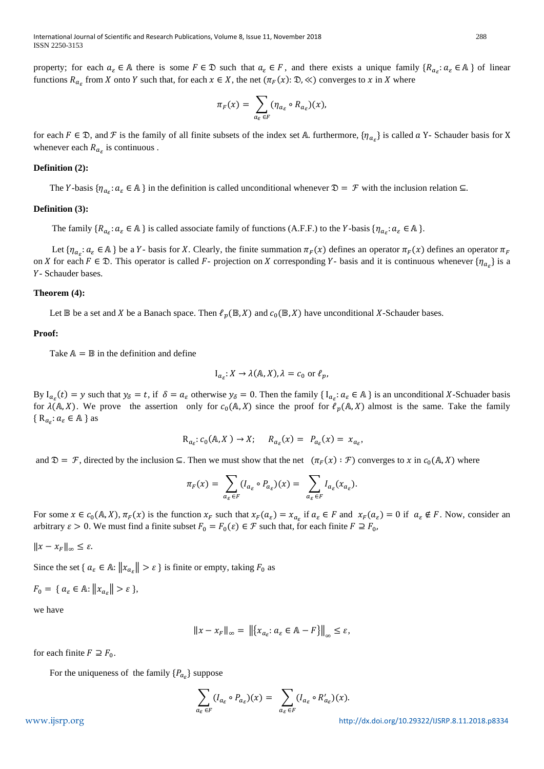property; for each  $a_{\varepsilon} \in \mathbb{A}$  there is some  $F \in \mathbb{D}$  such that  $a_{\varepsilon} \in F$ , and there exists a unique family  $\{R_{a_{\varepsilon}}: a_{\varepsilon} \in \mathbb{A}\}\$  of linear functions  $R_{a_{\varepsilon}}$  from X onto Y such that, for each  $x \in X$ , the net  $(\pi_F(x): \mathfrak{D}, \ll)$  converges to x in X where

$$
\pi_F(x) = \sum_{a_{\varepsilon} \in F} (\eta_{a_{\varepsilon}} \circ R_{a_{\varepsilon}})(x),
$$

for each  $F \in \mathcal{D}$ , and  $\mathcal F$  is the family of all finite subsets of the index set A. furthermore,  $\{\eta_{a_{\varepsilon}}\}$  is called  $a$  Y- Schauder basis for X whenever each  $R_{a_{\varepsilon}}$  is continuous.

## **Definition (2):**

The Y-basis  $\{\eta_{a_{\varepsilon}}: a_{\varepsilon} \in A\}$  in the definition is called unconditional whenever  $\mathfrak{D} = \mathcal{F}$  with the inclusion relation  $\subseteq$ .

# **Definition (3):**

The family  $\{R_{a_{\varepsilon}}: a_{\varepsilon} \in A\}$  is called associate family of functions (A.F.F.) to the Y-basis  $\{\eta_{a_{\varepsilon}}: a_{\varepsilon} \in A\}$ .

Let  $\{\eta_{a_{\varepsilon}}: a_{\varepsilon} \in A\}$  be a Y- basis for X. Clearly, the finite summation  $\pi_F(x)$  defines an operator  $\pi_F(x)$  defines an operator  $\pi_F(x)$ on *X* for each  $F \in \mathcal{D}$ . This operator is called *F*- projection on *X* corresponding *Y*- basis and it is continuous whenever  $\{\eta_{a_{\varepsilon}}\}$  is a Y- Schauder bases.

# **Theorem (4):**

Let  $\mathbb B$  be a set and X be a Banach space. Then  $\ell_p(\mathbb B, X)$  and  $c_0(\mathbb B, X)$  have unconditional X-Schauder bases.

# **Proof:**

Take  $A = \mathbb{B}$  in the definition and define

$$
I_{a_{\varepsilon}}: X \to \lambda(\mathbb{A}, X), \lambda = c_0 \text{ or } \ell_p,
$$

By  $I_{a_{\varepsilon}}(t) = y$  such that  $y_{\delta} = t$ , if  $\delta = a_{\varepsilon}$  otherwise  $y_{\delta} = 0$ . Then the family {  $I_{a_{\varepsilon}}: a_{\varepsilon} \in A$  } is an unconditional X-Schuader basis for  $\lambda(A, X)$ . We prove the assertion only for  $c_0(A, X)$  since the proof for  $\ell_p(A, X)$  almost is the same. Take the family {  $R_{a_{\varepsilon}}$ :  $a_{\varepsilon} \in A$  } as

$$
R_{a_{\varepsilon}}: c_0(A, X) \to X; \quad R_{a_{\varepsilon}}(x) = P_{a_{\varepsilon}}(x) = x_{a_{\varepsilon}},
$$

and  $\mathfrak{D} = \mathcal{F}$ , directed by the inclusion  $\subseteq$ . Then we must show that the net  $(\pi_F(x) : \mathcal{F})$  converges to  $x$  in  $c_0(A, X)$  where

$$
\pi_F(x) = \sum_{a_\varepsilon \in F} (I_{a_\varepsilon} \circ P_{a_\varepsilon})(x) = \sum_{a_\varepsilon \in F} I_{a_\varepsilon}(x_{a_\varepsilon}).
$$

For some  $x \in c_0(A, X)$ ,  $\pi_F(x)$  is the function  $x_F$  such that  $x_F(a_\varepsilon) = x_{a_\varepsilon}$  if  $a_\varepsilon \in F$  and  $x_F(a_\varepsilon) = 0$  if  $a_\varepsilon \notin F$ . Now, consider an arbitrary  $\varepsilon > 0$ . We must find a finite subset  $F_0 = F_0(\varepsilon) \in \mathcal{F}$  such that, for each finite  $F \supseteq F_0$ ,

 $||x - x_F||_{\infty} \leq \varepsilon$ .

Since the set {  $a_{\varepsilon} \in A$ :  $||x_{a_{\varepsilon}}|| > \varepsilon$  } is finite or empty, taking  $F_0$  as

$$
F_0 = \{ a_{\varepsilon} \in \mathbb{A} : ||x_{a_{\varepsilon}}|| > \varepsilon \},
$$

we have

$$
||x - x_F||_{\infty} = ||[x_{a_{\varepsilon}} : a_{\varepsilon} \in \mathbb{A} - F]||_{\infty} \leq \varepsilon,
$$

for each finite  $F \supseteq F_0$ .

For the uniqueness of the family  $\{P_{a_{\varepsilon}}\}\)$  suppose

$$
\sum_{a_{\varepsilon} \in F} (I_{a_{\varepsilon}} \circ P_{a_{\varepsilon}})(x) = \sum_{a_{\varepsilon} \in F} (I_{a_{\varepsilon}} \circ R'_{a_{\varepsilon}})(x).
$$

[www.ijsrp.org](http://ijsrp.org/) <http://dx.doi.org/10.29322/IJSRP.8.11.2018.p8334>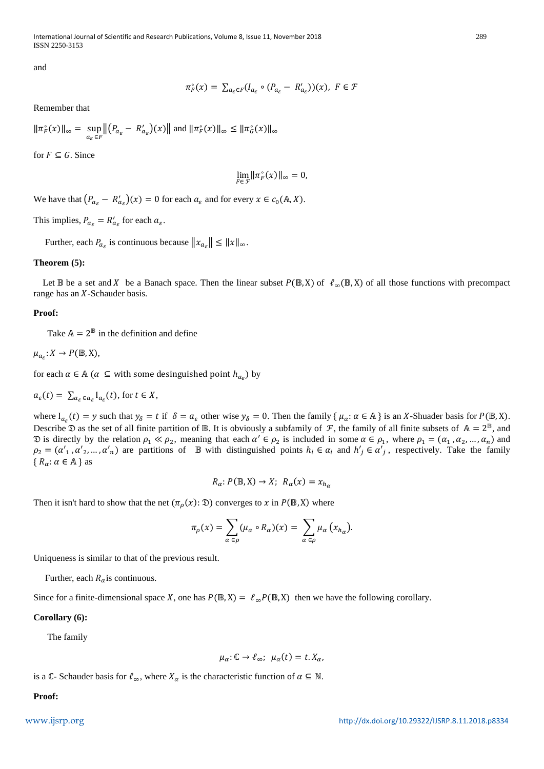International Journal of Scientific and Research Publications, Volume 8, Issue 11, November 2018 289 ISSN 2250-3153

and

$$
\pi_F^{\circ}(x) = \sum_{a_{\varepsilon} \in F} (I_{a_{\varepsilon}} \circ (P_{a_{\varepsilon}} - R'_{a_{\varepsilon}}))(x), \ F \in \mathcal{F}
$$

Remember that

$$
\|\pi_F^\circ(x)\|_\infty = \sup_{a_\varepsilon \in F} \left\| \left( P_{a_\varepsilon} - R'_{a_\varepsilon} \right)(x) \right\| \text{ and } \|\pi_F^\circ(x)\|_\infty \le \|\pi_G^\circ(x)\|_\infty
$$

for  $F \subseteq G$ . Since

$$
\lim_{F\in\mathcal{F}}\|\pi_F^\circ(x)\|_\infty=0,
$$

We have that  $(P_{a_{\varepsilon}} - R'_{a_{\varepsilon}})(x) = 0$  for each  $a_{\varepsilon}$  and for every  $x \in c_0(\mathbb{A}, X)$ .

This implies,  $P_{a_{\varepsilon}} = R'_{a_{\varepsilon}}$  for each  $a_{\varepsilon}$ .

Further, each  $P_{a_{\varepsilon}}$  is continuous because  $||x_{a_{\varepsilon}}|| \leq ||x||_{\infty}$ .

## **Theorem (5):**

Let  $\mathbb B$  be a set and X be a Banach space. Then the linear subset  $P(\mathbb B,X)$  of  $\ell_{\infty}(\mathbb B,X)$  of all those functions with precompact range has an  $X$ -Schauder basis.

#### **Proof:**

Take  $\mathbb{A} = 2^{\mathbb{B}}$  in the definition and define

$$
\mu_{a_{\varepsilon}}\colon X\to P(\mathbb{B},X),
$$

for each  $\alpha \in A$  ( $\alpha \subseteq$  with some desinguished point  $h_{a_{\varepsilon}}$ ) by

$$
a_{\varepsilon}(t) = \sum_{a_{\varepsilon} \in a_{\varepsilon}} I_{a_{\varepsilon}}(t), \text{ for } t \in X,
$$

where  $I_{a_{\varepsilon}}(t) = y$  such that  $y_{\delta} = t$  if  $\delta = a_{\varepsilon}$  other wise  $y_{\delta} = 0$ . Then the family  $\{\mu_{\alpha}: \alpha \in \mathbb{A}\}$  is an X-Shuader basis for  $P(\mathbb{B}, X)$ . Describe  $\mathfrak D$  as the set of all finite partition of  $\mathbb B$ . It is obviously a subfamily of  $\mathcal F$ , the family of all finite subsets of  $A = 2^{\mathbb B}$ , and  $\mathfrak D$  is directly by the relation  $\rho_1 \ll \rho_2$ , meaning that each  $\alpha' \in \rho_2$  is included in some  $\alpha \in \rho_1$ , where  $\rho_1 = (\alpha_1, \alpha_2, ..., \alpha_n)$  and  $\rho_2 = (\alpha'_1, \alpha'_2, ..., \alpha'_n)$  are partitions of  $\mathbb B$  with distinguished points  $h_i \in \alpha_i$  and  $h'_j \in \alpha'_j$ , respectively. Take the family  ${R_\alpha : \alpha \in \mathbb{A} \}$  as

$$
R_{\alpha}: P(\mathbb{B}, X) \to X; R_{\alpha}(x) = x_{h_{\alpha}}
$$

Then it isn't hard to show that the net  $(\pi_{\rho}(x): \mathfrak{D})$  converges to x in  $P(\mathbb{B}, X)$  where

$$
\pi_{\rho}(x) = \sum_{\alpha \in \rho} (\mu_{\alpha} \circ R_{\alpha})(x) = \sum_{\alpha \in \rho} \mu_{\alpha} (x_{h_{\alpha}}).
$$

Uniqueness is similar to that of the previous result.

Further, each  $R_{\alpha}$  is continuous.

Since for a finite-dimensional space X, one has  $P(\mathbb{B}, X) = \ell_{\infty} P(\mathbb{B}, X)$  then we have the following corollary.

# **Corollary (6):**

The family

$$
\mu_{\alpha} \colon \mathbb{C} \to \ell_{\infty}; \ \mu_{\alpha}(t) = t. X_{\alpha},
$$

is a C- Schauder basis for  $\ell_{\infty}$ , where  $X_{\alpha}$  is the characteristic function of  $\alpha \subseteq \mathbb{N}$ .

**Proof:**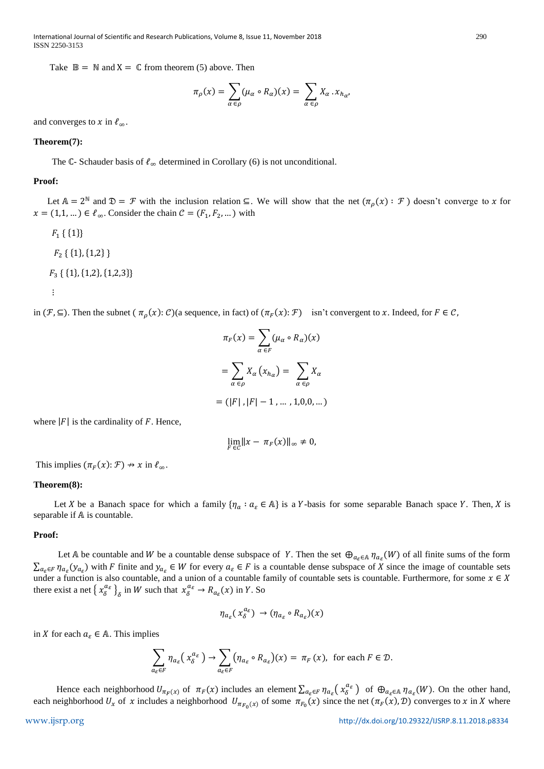International Journal of Scientific and Research Publications, Volume 8, Issue 11, November 2018 290 ISSN 2250-3153

Take  $\mathbb{B} = \mathbb{N}$  and  $X = \mathbb{C}$  from theorem (5) above. Then

$$
\pi_{\rho}(x) = \sum_{\alpha \in \rho} (\mu_{\alpha} \circ R_{\alpha})(x) = \sum_{\alpha \in \rho} X_{\alpha} \cdot x_{h_{\alpha}},
$$

and converges to x in  $\ell_{\infty}$ .

#### **Theorem(7):**

The  $\mathbb{C}$ - Schauder basis of  $\ell_{\infty}$  determined in Corollary (6) is not unconditional.

#### **Proof:**

Let  $\mathbb{A} = 2^{\mathbb{N}}$  and  $\mathfrak{D} = \mathcal{F}$  with the inclusion relation  $\subseteq$ . We will show that the net  $(\pi_{\rho}(x) : \mathcal{F})$  doesn't converge to x for  $x = (1,1,...) \in \ell_{\infty}$ . Consider the chain  $\mathcal{C} = (F_1, F_2, ...)$  with

 $F_1 \{\{1\}\}\$  $F_2$  { {1}, {1,2} }  $F_3\{\{1\},\{1,2\},\{1,2,3\}\}\$ ⋮

in  $(\mathcal{F}, \subseteq)$ . Then the subnet  $(\pi_{\rho}(x): \mathcal{C})$  (a sequence, in fact) of  $(\pi_F(x): \mathcal{F})$  isn't convergent to x. Indeed, for  $F \in \mathcal{C}$ ,

$$
\pi_F(x) = \sum_{\alpha \in F} (\mu_\alpha \circ R_\alpha)(x)
$$

$$
= \sum_{\alpha \in \rho} X_\alpha (x_{h_\alpha}) = \sum_{\alpha \in \rho} X_\alpha
$$

$$
= (|F|, |F| - 1, \dots, 1, 0, 0, \dots)
$$

where  $|F|$  is the cardinality of F. Hence,

$$
\lim_{F\in\mathcal{C}}\|x-\pi_F(x)\|_\infty\neq 0,
$$

This implies  $(\pi_F(x): \mathcal{F}) \nrightarrow x$  in  $\ell_\infty$ .

# **Theorem(8):**

Let X be a Banach space for which a family  $\{\eta_a : a_{\varepsilon} \in A\}$  is a Y-basis for some separable Banach space Y. Then, X is separable if  $A$  is countable.

# **Proof:**

Let A be countable and W be a countable dense subspace of Y. Then the set  $\bigoplus_{a_\varepsilon \in A} \eta_{a_\varepsilon}(W)$  of all finite sums of the form  $\sum_{a_{\varepsilon} \in F} \eta_{a_{\varepsilon}}(y_{a_{\varepsilon}})$  with F finite and  $y_{a_{\varepsilon}} \in W$  for every  $a_{\varepsilon} \in F$  is a countable dense subspace of X since the image of countable sets under a function is also countable, and a union of a countable family of countable sets is countable. Furthermore, for some  $x \in X$ there exist a net  $\{x_{\delta}^{a_{\varepsilon}}\}_{\delta}$  in W such that  $x_{\delta}^{a_{\varepsilon}} \to R_{a_{\varepsilon}}(x)$  in Y. So

$$
\eta_{a_{\varepsilon}}(x_{\delta}^{a_{\varepsilon}}) \to (\eta_{a_{\varepsilon}} \circ R_{a_{\varepsilon}})(x)
$$

in X for each  $a_{\varepsilon} \in A$ . This implies

$$
\sum_{a_{\varepsilon}\in F} \eta_{a_{\varepsilon}}(x_{\delta}^{a_{\varepsilon}}) \to \sum_{a_{\varepsilon}\in F} (\eta_{a_{\varepsilon}} \circ R_{a_{\varepsilon}})(x) = \pi_F(x), \text{ for each } F \in \mathcal{D}.
$$

Hence each neighborhood  $U_{\pi_F(x)}$  of  $\pi_F(x)$  includes an element  $\sum_{a_\varepsilon \in F} \eta_{a_\varepsilon}(x_\delta^{a_\varepsilon})$  of  $\bigoplus_{a_\varepsilon \in A} \eta_{a_\varepsilon}(W)$ . On the other hand, each neighborhood  $U_x$  of  $x$  includes a neighborhood  $U_{\pi_{F_0}(x)}$  of some  $\pi_{F_0}(x)$  since the net  $(\pi_F(x), \mathcal{D})$  converges to  $x$  in  $X$  where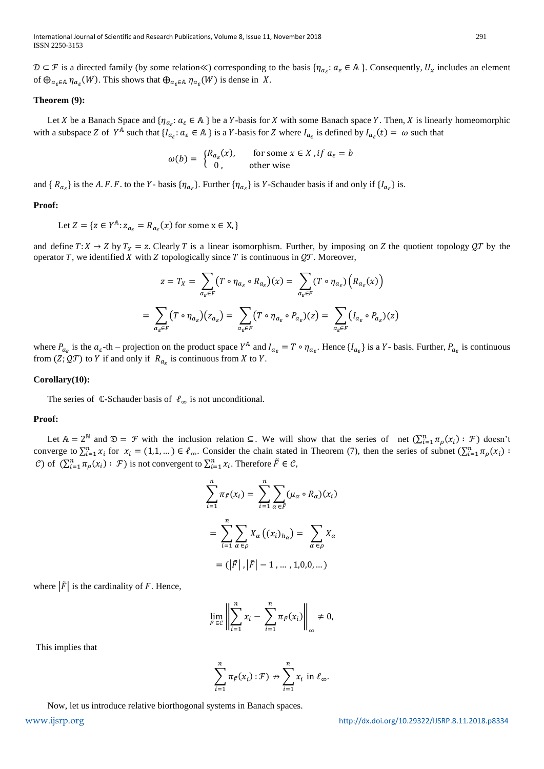$D \subset \mathcal{F}$  is a directed family (by some relation  $\ll$ ) corresponding to the basis  $\{\eta_{a_{\varepsilon}}: a_{\varepsilon} \in A\}$ . Consequently,  $U_x$  includes an element of  $\bigoplus_{a_{\varepsilon} \in A} \eta_{a_{\varepsilon}}(W)$ . This shows that  $\bigoplus_{a_{\varepsilon} \in A} \eta_{a_{\varepsilon}}(W)$  is dense in X.

# **Theorem (9):**

Let X be a Banach Space and  $\{\eta_{a_{\varepsilon}}: a_{\varepsilon} \in A\}$  be a Y-basis for X with some Banach space Y. Then, X is linearly homeomorphic with a subspace Z of  $Y^{\mathbb{A}}$  such that  $\{I_{a_{\varepsilon}}: a_{\varepsilon} \in \mathbb{A}\}$  is a Y-basis for Z where  $I_{a_{\varepsilon}}$  is defined by  $I_{a_{\varepsilon}}(t) = \omega$  such that

$$
\omega(b) = \begin{cases} R_{a_{\varepsilon}}(x), & \text{for some } x \in X \text{ , if } a_{\varepsilon} = b \\ 0, & \text{other wise} \end{cases}
$$

and {  $R_{a_{\varepsilon}}$ } is the A.F.F. to the Y- basis { $\eta_{a_{\varepsilon}}$ }. Further { $\eta_{a_{\varepsilon}}$ } is Y-Schauder basis if and only if { $l_{a_{\varepsilon}}$ } is.

# **Proof:**

Let  $Z = \{z \in Y^{\mathbb{A}} : z_{a_{\varepsilon}} = R_{a_{\varepsilon}}(x) \text{ for some } x \in X, \}$ 

and define  $T: X \to Z$  by  $T_X = z$ . Clearly T is a linear isomorphism. Further, by imposing on Z the quotient topology  $QT$  by the operator T, we identified X with Z topologically since T is continuous in  $\mathcal{Q}T$ . Moreover,

$$
z = T_X = \sum_{a_{\varepsilon} \in F} (T \circ \eta_{a_{\varepsilon}} \circ R_{a_{\varepsilon}})(x) = \sum_{a_{\varepsilon} \in F} (T \circ \eta_{a_{\varepsilon}}) (R_{a_{\varepsilon}}(x))
$$

$$
= \sum_{a_{\varepsilon} \in F} (T \circ \eta_{a_{\varepsilon}}) (z_{a_{\varepsilon}}) = \sum_{a_{\varepsilon} \in F} (T \circ \eta_{a_{\varepsilon}} \circ P_{a_{\varepsilon}})(z) = \sum_{a_{\varepsilon} \in F} (I_{a_{\varepsilon}} \circ P_{a_{\varepsilon}})(z)
$$

where  $P_{a_{\varepsilon}}$  is the  $a_{\varepsilon}$ -th – projection on the product space  $Y^{\mathbb{A}}$  and  $I_{a_{\varepsilon}} = T \circ \eta_{a_{\varepsilon}}$ . Hence  $\{I_{a_{\varepsilon}}\}$  is a  $Y$ - basis. Further,  $P_{a_{\varepsilon}}$  is continuous from  $(Z; \mathcal{QT})$  to Y if and only if  $R_{a_{\varepsilon}}$  is continuous from X to Y.

#### **Corollary(10):**

The series of  $\mathbb C$ -Schauder basis of  $\ell_{\infty}$  is not unconditional.

#### **Proof:**

Let  $\mathbb{A} = 2^{\mathbb{N}}$  and  $\mathfrak{D} = \mathcal{F}$  with the inclusion relation  $\subseteq$ . We will show that the series of net  $(\sum_{i=1}^{n} \pi_{\rho}(x_i) : \mathcal{F})$  doesn't converge to  $\sum_{i=1}^{n} x_i$  for  $x_i = (1,1,...) \in \ell_\infty$ . Consider the chain stated in Theorem (7), then the series of subnet  $(\sum_{i=1}^{n} \pi_\rho(x_i))$ C) of  $(\sum_{i=1}^n \pi_\rho(x_i) : \mathcal{F})$  is not convergent to  $\sum_{i=1}^n x_i$ . Therefore  $\tilde{F} \in \mathcal{C}$ ,

$$
\sum_{i=1}^{n} \pi_{\tilde{F}}(x_i) = \sum_{i=1}^{n} \sum_{\alpha \in \tilde{F}} (\mu_{\alpha} \circ R_{\alpha})(x_i)
$$

$$
= \sum_{i=1}^{n} \sum_{\alpha \in \rho} X_{\alpha} ((x_i)_{h_{\alpha}}) = \sum_{\alpha \in \rho} X_{\alpha}
$$

$$
= (|\tilde{F}|, |\tilde{F}| - 1, ..., 1, 0, 0, ...)
$$

where  $|\tilde{F}|$  is the cardinality of F. Hence,

$$
\lim_{\overrightarrow{F}\in\mathcal{C}}\left\|\sum_{i=1}^n x_i - \sum_{i=1}^n \pi_{\overrightarrow{F}}(x_i)\right\|_{\infty} \neq 0,
$$

This implies that

$$
\sum_{i=1}^n \pi_{\tilde{F}}(x_i): \mathcal{F}) \nrightarrow \sum_{i=1}^n x_i \text{ in } \ell_\infty.
$$

Now, let us introduce relative biorthogonal systems in Banach spaces.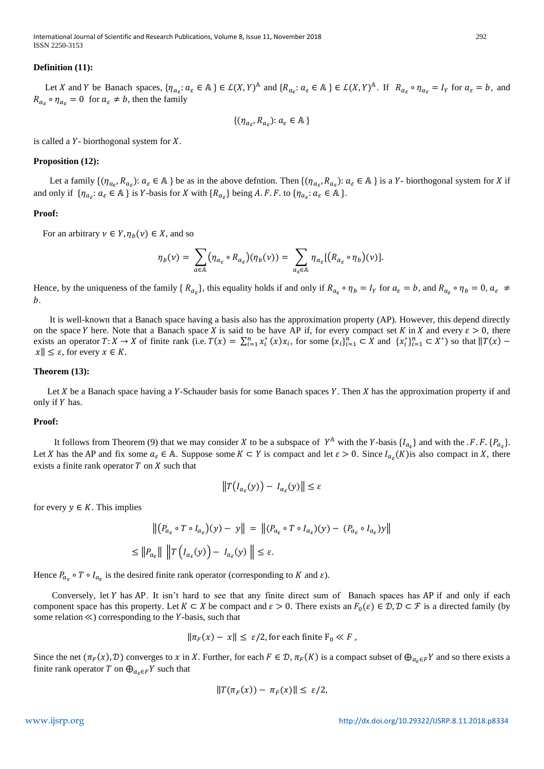International Journal of Scientific and Research Publications, Volume 8, Issue 11, November 2018 292 ISSN 2250-3153

# **Definition (11):**

Let X and Y be Banach spaces,  $\{\eta_{a_{\varepsilon}}: a_{\varepsilon} \in A\} \in \mathcal{L}(X, Y)^{\mathbb{A}}$  and  $\{R_{a_{\varepsilon}}: a_{\varepsilon} \in A\} \in \mathcal{L}(X, Y)^{\mathbb{A}}$ . If  $R_{a_{\varepsilon}} \circ \eta_{a_{\varepsilon}} = I_Y$  for  $a_{\varepsilon} = b$ , and  $R_{a_{\varepsilon}} \circ \eta_{a_{\varepsilon}} = 0$  for  $a_{\varepsilon} \neq b$ , then the family

$$
\{(\eta_{a_{\varepsilon}}, R_{a_{\varepsilon}}): a_{\varepsilon} \in \mathbb{A}\}
$$

is called a  $Y$ - biorthogonal system for  $X$ .

## **Proposition (12):**

Let a family  $\{(\eta_{a_{\varepsilon}}, R_{a_{\varepsilon}}): a_{\varepsilon} \in A\}$  be as in the above defintion. Then  $\{(\eta_{a_{\varepsilon}}, R_{a_{\varepsilon}}): a_{\varepsilon} \in A\}$  is a Y- biorthogonal system for X if and only if  $\{\eta_{a_{\varepsilon}}: a_{\varepsilon} \in A\}$  is Y-basis for X with  $\{R_{a_{\varepsilon}}\}$  being A.F.F. to  $\{\eta_{a_{\varepsilon}}: a_{\varepsilon} \in A\}$ .

## **Proof:**

For an arbitrary  $v \in Y$ ,  $\eta_b(v) \in X$ , and so

$$
\eta_b(\nu) = \sum_{a \in A} (\eta_{a_{\varepsilon}} \circ R_{a_{\varepsilon}})(\eta_b(\nu)) = \sum_{a_{\varepsilon} \in A} \eta_{a_{\varepsilon}}[(R_{a_{\varepsilon}} \circ \eta_b)(\nu)].
$$

Hence, by the uniqueness of the family  $\{R_{a_{\varepsilon}}\}$ , this equality holds if and only if  $R_{a_{\varepsilon}} \circ \eta_b = I_Y$  for  $a_{\varepsilon} = b$ , and  $R_{a_{\varepsilon}} \circ \eta_b = 0$ ,  $a_{\varepsilon} \neq 0$  $b$ .

 It is well-known that a Banach space having a basis also has the approximation property (AP). However, this depend directly on the space Y here. Note that a Banach space X is said to be have AP if, for every compact set K in X and every  $\varepsilon > 0$ , there exists an operator  $T: X \to X$  of finite rank (i.e.  $T(x) = \sum_{i=1}^{n} x_i^*(x) x_i$ , for some  $\{x_i\}_{i=1}^{n} \subset X$  and  $\{x_i^*\}_{i=1}^{n} \subset X^*$ ) so that  $||T(x) - T||$  $||x|| \leq \varepsilon$ , for every  $x \in K$ .

#### **Theorem (13):**

Let  $X$  be a Banach space having a Y-Schauder basis for some Banach spaces Y. Then  $X$  has the approximation property if and only if Y has.

## **Proof:**

It follows from Theorem (9) that we may consider X to be a subspace of  $Y^{\mathbb{A}}$  with the Y-basis  $\{I_{a_{\varepsilon}}\}$  and with the . F. F.  $\{P_{a_{\varepsilon}}\}$ . Let *X* has the AP and fix some  $a_{\varepsilon} \in A$ . Suppose some  $K \subset Y$  is compact and let  $\varepsilon > 0$ . Since  $I_{a_{\varepsilon}}(K)$  is also compact in *X*, there exists a finite rank operator  $T$  on  $X$  such that

$$
||T(I_{a_{\varepsilon}}(y)) - I_{a_{\varepsilon}}(y)|| \leq \varepsilon
$$

for every  $v \in K$ . This implies

$$
\left\| \left( P_{a_{\varepsilon}} \circ T \circ I_{a_{\varepsilon}} \right) (y) - y \right\| \right\| = \left\| \left( P_{a_{\varepsilon}} \circ T \circ I_{a_{\varepsilon}} \right) (y) - \left( P_{a_{\varepsilon}} \circ I_{a_{\varepsilon}} \right) y \right\|
$$
  

$$
\leq \left\| P_{a_{\varepsilon}} \right\| \left\| T \left( I_{a_{\varepsilon}} (y) \right) - I_{a_{\varepsilon}} (y) \right\| \leq \varepsilon.
$$

Hence  $P_{a_{\varepsilon}} \circ T \circ I_{a_{\varepsilon}}$  is the desired finite rank operator (corresponding to K and  $\varepsilon$ ).

Conversely, let Y has AP. It isn't hard to see that any finite direct sum of Banach spaces has AP if and only if each component space has this property. Let  $K \subset X$  be compact and  $\varepsilon > 0$ . There exists an  $F_0(\varepsilon) \in \mathcal{D}, \mathcal{D} \subset \mathcal{F}$  is a directed family (by some relation  $\ll$ ) corresponding to the Y-basis, such that

$$
\|\pi_F(x) - x\| \le \varepsilon/2, \text{for each finite } F_0 \ll F,
$$

Since the net  $(\pi_F(x), \mathcal{D})$  converges to x in X. Further, for each  $F \in \mathcal{D}$ ,  $\pi_F(K)$  is a compact subset of  $\bigoplus_{a_\varepsilon \in F} Y$  and so there exists a finite rank operator T on  $\bigoplus_{\alpha_s \in F} Y$  such that

$$
||T(\pi_F(x)) - \pi_F(x)|| \leq \varepsilon/2,
$$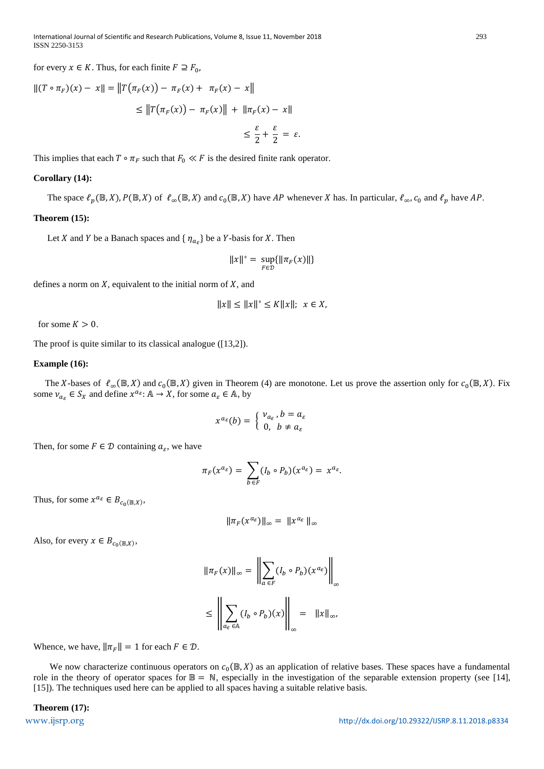for every  $x \in K$ . Thus, for each finite  $F \supseteq F_0$ ,

$$
||(T \circ \pi_F)(x) - x|| = ||T(\pi_F(x)) - \pi_F(x) + \pi_F(x) - x||
$$
  
\n
$$
\le ||T(\pi_F(x)) - \pi_F(x)|| + ||\pi_F(x) - x||
$$
  
\n
$$
\le \frac{\varepsilon}{2} + \frac{\varepsilon}{2} = \varepsilon.
$$

This implies that each  $T \circ \pi_F$  such that  $F_0 \ll F$  is the desired finite rank operator.

# **Corollary (14):**

The space  $\ell_p(\mathbb{B}, X)$ ,  $P(\mathbb{B}, X)$  of  $\ell_\infty(\mathbb{B}, X)$  and  $c_0(\mathbb{B}, X)$  have AP whenever X has. In particular,  $\ell_\infty$ ,  $c_0$  and  $\ell_p$  have AP.

# **Theorem (15):**

Let *X* and *Y* be a Banach spaces and  $\{\eta_{a_{\varepsilon}}\}$  be a *Y*-basis for *X*. Then

$$
||x||^* = \sup_{F \in \mathcal{D}} \{||\pi_F(x)||\}
$$

defines a norm on  $X$ , equivalent to the initial norm of  $X$ , and

$$
||x|| \le ||x||^{\circ} \le K||x||; \ \ x \in X,
$$

for some  $K > 0$ .

The proof is quite similar to its classical analogue ([13,2]).

# **Example (16):**

The X-bases of  $\ell_{\infty}(\mathbb{B}, X)$  and  $c_0(\mathbb{B}, X)$  given in Theorem (4) are monotone. Let us prove the assertion only for  $c_0(\mathbb{B}, X)$ . Fix some  $\nu_{a_{\varepsilon}} \in S_X$  and define  $x^{a_{\varepsilon}}$ :  $A \to X$ , for some  $a_{\varepsilon} \in A$ , by

$$
x^{a_{\varepsilon}}(b) = \left\{ \begin{array}{l} \nu_{a_{\varepsilon}}, b = a_{\varepsilon} \\ 0, \ b \neq a_{\varepsilon} \end{array} \right.
$$

Then, for some  $F \in \mathcal{D}$  containing  $a_{\varepsilon}$ , we have

$$
\pi_F(x^{a_{\varepsilon}}) = \sum_{b \in F} (I_b \circ P_b)(x^{a_{\varepsilon}}) = x^{a_{\varepsilon}}.
$$

Thus, for some  $x^{a_{\varepsilon}} \in B_{c_0(\mathbb{B},X)},$ 

$$
\|\pi_F(x^{a_{\varepsilon}})\|_{\infty}=\|x^{a_{\varepsilon}}\|_{\infty}
$$

Also, for every  $x \in B_{c_0(\mathbb{B},X)},$ 

$$
\|\pi_F(x)\|_{\infty} = \left\|\sum_{a \in F} (I_b \circ P_b)(x^{a_{\varepsilon}})\right\|_{\infty}
$$
  

$$
\leq \left\|\sum_{a_{\varepsilon} \in \mathbb{A}} (I_b \circ P_b)(x)\right\|_{\infty} = \|x\|_{\infty},
$$

Whence, we have,  $\|\pi_F\| = 1$  for each  $F \in \mathcal{D}$ .

We now characterize continuous operators on  $c_0(\mathbb{B}, X)$  as an application of relative bases. These spaces have a fundamental role in the theory of operator spaces for  $\mathbb{B} = \mathbb{N}$ , especially in the investigation of the separable extension property (see [14], [15]). The techniques used here can be applied to all spaces having a suitable relative basis.

**Theorem (17):**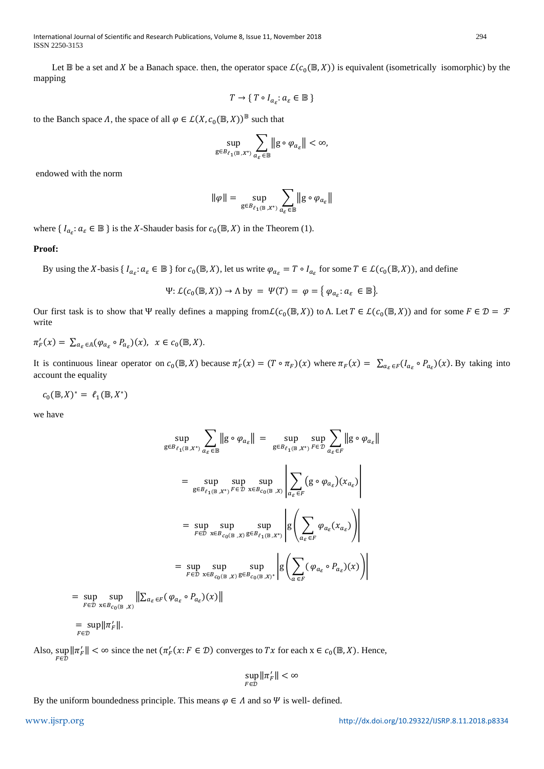International Journal of Scientific and Research Publications, Volume 8, Issue 11, November 2018 294 ISSN 2250-3153

Let  $\mathbb B$  be a set and X be a Banach space. then, the operator space  $\mathcal L(c_0(\mathbb B,X))$  is equivalent (isometrically isomorphic) by the mapping

$$
T \to \{ T \circ I_{a_\varepsilon} : a_\varepsilon \in \mathbb{B} \}
$$

to the Banch space  $\Lambda$ , the space of all  $\varphi \in \mathcal{L}(X, c_0(\mathbb{B}, X))^{\mathbb{B}}$  such that

$$
\sup_{\mathbf{g}\in B_{\ell_1(\mathbb{B},X^*)}} \sum_{a_\varepsilon\in\mathbb{B}} \big\| \mathbf{g}\circ \varphi_{a_\varepsilon} \big\| < \infty,
$$

endowed with the norm

$$
\|\varphi\| = \sup_{g \in B_{\ell_1(\mathbb{B},X^*)}} \sum_{a_{\varepsilon} \in \mathbb{B}} \|g \circ \varphi_{a_{\varepsilon}}\|
$$

where  $\{I_{\alpha_{\varepsilon}}: \alpha_{\varepsilon} \in \mathbb{B}\}$  is the X-Shauder basis for  $c_0(\mathbb{B}, X)$  in the Theorem (1).

# **Proof:**

By using the X-basis  $\{I_{a_{\varepsilon}}: a_{\varepsilon} \in \mathbb{B}\}$  for  $c_0(\mathbb{B}, X)$ , let us write  $\varphi_{a_{\varepsilon}} = T \circ I_{a_{\varepsilon}}$  for some  $T \in \mathcal{L}(c_0(\mathbb{B}, X))$ , and define

$$
\Psi: \mathcal{L}(c_0(\mathbb{B}, X)) \to \Lambda \text{ by } = \Psi(T) = \varphi = \{ \varphi_{a_{\varepsilon}}: a_{\varepsilon} \in \mathbb{B} \}.
$$

Our first task is to show that Ψ really defines a mapping from  $\mathcal{L}(c_0(\mathbb{B}, X))$  to Λ. Let  $T \in \mathcal{L}(c_0(\mathbb{B}, X))$  and for some  $F \in \mathcal{D} = \mathcal{F}$ write

$$
\pi'_F(x) = \sum_{a_{\varepsilon} \in \mathbb{A}} (\varphi_{a_{\varepsilon}} \circ P_{a_{\varepsilon}})(x), \quad x \in c_0(\mathbb{B}, X).
$$

It is continuous linear operator on  $c_0(\mathbb{B}, X)$  because  $\pi_F(x) = (T \circ \pi_F)(x)$  where  $\pi_F(x) = \sum_{a_\varepsilon \in F} (I_{a_\varepsilon} \circ P_{a_\varepsilon})(x)$ . By taking into account the equality

 $c_0(\mathbb{B}, X)^* = \ell_1(\mathbb{B}, X^*)$ 

 $= \sup_{F \in \mathcal{D}}$ 

∈

we have

$$
\sup_{g \in B_{\ell_1(\mathbb{B},X^*)}} \sum_{a_{\varepsilon} \in \mathbb{B}} \|g \circ \varphi_{a_{\varepsilon}}\| = \sup_{g \in B_{\ell_1(\mathbb{B},X^*)}} \sup_{F \in \mathcal{D}} \sum_{a_{\varepsilon} \in F} \|g \circ \varphi_{a_{\varepsilon}}\|
$$
\n
$$
= \sup_{g \in B_{\ell_1(\mathbb{B},X^*)}} \sup_{F \in \mathcal{D}} \sup_{x \in B_{c_0(\mathbb{B},X)}} \left| \sum_{a_{\varepsilon} \in F} (g \circ \varphi_{a_{\varepsilon}})(x_{a_{\varepsilon}}) \right|
$$
\n
$$
= \sup_{F \in \mathcal{D}} \sup_{x \in B_{c_0(\mathbb{B},X)}} \sup_{g \in B_{\ell_1(\mathbb{B},X^*)}} \left| g \left( \sum_{a_{\varepsilon} \in F} \varphi_{a_{\varepsilon}}(x_{a_{\varepsilon}}) \right) \right|
$$
\n
$$
= \sup_{F \in \mathcal{D}} \sup_{x \in B_{c_0(\mathbb{B},X)}} \sup_{g \in B_{c_0(\mathbb{B},X)^*}} \left| g \left( \sum_{a_{\varepsilon} \in F} (\varphi_{a_{\varepsilon}} \circ P_{a_{\varepsilon}})(x) \right) \right|
$$
\n
$$
= \sup_{F \in \mathcal{D}} \sup_{x \in B_{c_0(\mathbb{B},X)}} \left| \sum_{a_{\varepsilon} \in F} (\varphi_{a_{\varepsilon}} \circ P_{a_{\varepsilon}})(x) \right|
$$
\n
$$
= \sup_{F \in \mathcal{D}} \left| \frac{\pi}{|F|} \right|.
$$

Also,  $\sup_{F \in \mathcal{D}} ||\pi_F'|| < \infty$  since the net  $(\pi_F'(x : F \in \mathcal{D})$  converges to  $Tx$  for each  $x \in c_0(\mathbb{B}, X)$ . Hence,

$$
\sup_{F \in \mathcal{D}} \|\pi_F'\| < \infty
$$

By the uniform boundedness principle. This means  $\varphi \in A$  and so  $\Psi$  is well- defined.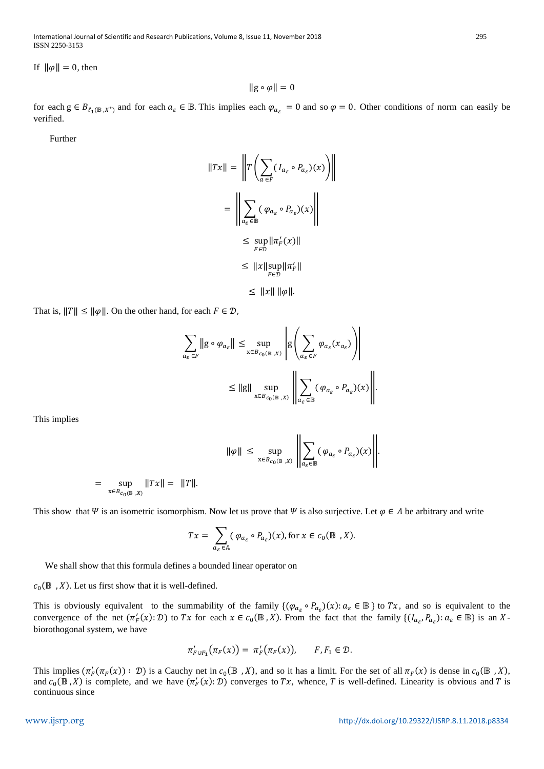International Journal of Scientific and Research Publications, Volume 8, Issue 11, November 2018 295 ISSN 2250-3153

If  $\|\varphi\| = 0$ , then

 $\|g \circ \varphi\| = 0$ 

for each  $g \in B_{\ell_1(\mathbb{B},X^*)}$  and for each  $a_{\varepsilon} \in \mathbb{B}$ . This implies each  $\varphi_{a_{\varepsilon}} = 0$  and so  $\varphi = 0$ . Other conditions of norm can easily be verified.

Further

$$
||Tx|| = \left\| T \left( \sum_{a \in F} (I_{a_{\varepsilon}} \circ P_{a_{\varepsilon}})(x) \right) \right\|
$$
  

$$
= \left\| \sum_{a_{\varepsilon} \in \mathbb{B}} (\varphi_{a_{\varepsilon}} \circ P_{a_{\varepsilon}})(x) \right\|
$$
  

$$
\leq \sup_{F \in \mathcal{D}} ||\pi_F'(x)||
$$
  

$$
\leq ||x|| \sup_{F \in \mathcal{D}} ||\pi_F'||
$$

 $\leq$  ||x|| || $\varphi$ ||.

That is,  $||T|| \le ||\varphi||$ . On the other hand, for each  $F \in \mathcal{D}$ ,

$$
\sum_{a_{\varepsilon} \in F} \|g \circ \varphi_{a_{\varepsilon}}\| \le \sup_{x \in B_{c_0(\mathbb{B}, X)}} \left| g \left( \sum_{a_{\varepsilon} \in F} \varphi_{a_{\varepsilon}}(x_{a_{\varepsilon}}) \right) \right|
$$
  

$$
\le \|g\| \sup_{x \in B_{c_0(\mathbb{B}, X)}} \left\| \sum_{a_{\varepsilon} \in \mathbb{B}} (\varphi_{a_{\varepsilon}} \circ P_{a_{\varepsilon}})(x) \right\|.
$$

This implies

$$
\|\varphi\| \le \sup_{x \in B_{c_0(\mathbb{B},X)}} \left\| \sum_{a_\varepsilon \in \mathbb{B}} (\varphi_{a_\varepsilon} \circ P_{a_\varepsilon})(x) \right\|.
$$

$$
= \sup_{x \in B_{c_0(\mathbb{B}, X)}} ||Tx|| = ||T||.
$$

This show that  $\Psi$  is an isometric isomorphism. Now let us prove that  $\Psi$  is also surjective. Let  $\varphi \in \Lambda$  be arbitrary and write

$$
Tx = \sum_{a_{\varepsilon} \in \mathbb{A}} (\varphi_{a_{\varepsilon}} \circ P_{a_{\varepsilon}})(x), \text{for } x \in c_0(\mathbb{B}^n, X).
$$

We shall show that this formula defines a bounded linear operator on

 $c_0(\mathbb{B}, X)$ . Let us first show that it is well-defined.

This is obviously equivalent to the summability of the family  $\{(\varphi_{a_{\varepsilon}} \circ P_{a_{\varepsilon}})(x): a_{\varepsilon} \in \mathbb{B}\}\$  to  $Tx$ , and so is equivalent to the convergence of the net  $(\pi_F^r(x): \mathcal{D})$  to  $Tx$  for each  $x \in c_0(\mathbb{B}, X)$ . From the fact that the family  $\{(I_{a_{\varepsilon}}, P_{a_{\varepsilon}}): a_{\varepsilon} \in \mathbb{B}\}\)$  is an Xbiorothogonal system, we have

$$
\pi'_{F\cup F_1}(\pi_F(x)) = \pi'_F(\pi_F(x)), \qquad F, F_1 \in \mathcal{D}.
$$

This implies  $(\pi_F'(\pi_F(x)) : \mathcal{D})$  is a Cauchy net in  $c_0(\mathbb{B}, X)$ , and so it has a limit. For the set of all  $\pi_F(x)$  is dense in  $c_0(\mathbb{B}, X)$ , and  $c_0(\mathbb{B}, X)$  is complete, and we have  $(\pi_F'(x): \mathcal{D})$  converges to  $Tx$ , whence, T is well-defined. Linearity is obvious and T is continuous since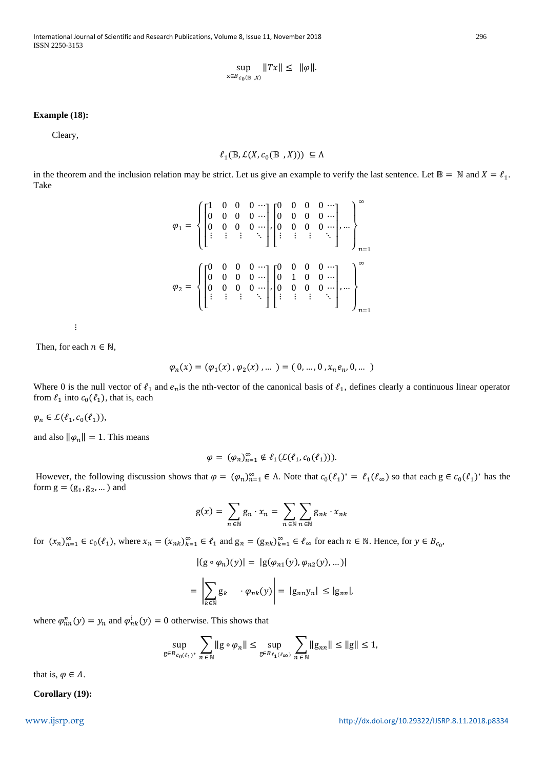International Journal of Scientific and Research Publications, Volume 8, Issue 11, November 2018 296 ISSN 2250-3153

$$
\sup_{x \in B_{c_0(\mathbb{B}, X)}} \|Tx\| \le \|\varphi\|.
$$

# **Example (18):**

Cleary,

$$
\ell_1(\mathbb{B},\mathcal{L}(X,c_0(\mathbb{B\ },X)))\,\subseteq\Lambda
$$

in the theorem and the inclusion relation may be strict. Let us give an example to verify the last sentence. Let  $\mathbb{B} = \mathbb{N}$  and  $X = \ell_1$ . Take

$$
\varphi_1 = \left\{ \begin{bmatrix} 1 & 0 & 0 & 0 & \cdots \\ 0 & 0 & 0 & 0 & \cdots \\ 0 & 0 & 0 & 0 & \cdots \\ \vdots & \vdots & \vdots & \ddots & \vdots \end{bmatrix} \begin{bmatrix} 0 & 0 & 0 & 0 & \cdots \\ 0 & 0 & 0 & 0 & \cdots \\ \vdots & \vdots & \vdots & \ddots & \vdots \end{bmatrix}, \dots \right\}_{n=1}^{\infty}
$$

$$
\varphi_2 = \left\{ \begin{bmatrix} 0 & 0 & 0 & 0 & \cdots \\ 0 & 0 & 0 & 0 & \cdots \\ 0 & 0 & 0 & 0 & \cdots \\ \vdots & \vdots & \vdots & \ddots & \vdots \end{bmatrix} \begin{bmatrix} 0 & 0 & 0 & 0 & \cdots \\ 0 & 1 & 0 & 0 & \cdots \\ \vdots & \vdots & \vdots & \ddots & \vdots \end{bmatrix}, \dots \right\}_{n=1}^{\infty}
$$

 $\sim$   $\sim$   $\sim$   $\sim$ 

Then, for each  $n \in \mathbb{N}$ ,

$$
\varphi_n(x) = (\varphi_1(x), \varphi_2(x), \dots) = (0, \dots, 0, x_n e_n, 0, \dots)
$$

Where 0 is the null vector of  $\ell_1$  and  $e_n$  is the nth-vector of the canonical basis of  $\ell_1$ , defines clearly a continuous linear operator from  $\ell_1$  into  $c_0(\ell_1)$ , that is, each

 $\varphi_n \in \mathcal{L}(\ell_1, c_0(\ell_1)),$ 

and also  $\|\varphi_n\| = 1$ . This means

$$
\varphi = (\varphi_n)_{n=1}^{\infty} \notin \ell_1(\mathcal{L}(\ell_1, c_0(\ell_1))).
$$

However, the following discussion shows that  $\varphi = (\varphi_n)_{n=1}^{\infty} \in \Lambda$ . Note that  $c_0(\ell_1)^* = \ell_1(\ell_{\infty})$  so that each  $g \in c_0(\ell_1)^*$  has the form  $g = (g_1, g_2, ...)$  and

$$
g(x) = \sum_{n \in \mathbb{N}} g_n \cdot x_n = \sum_{n \in \mathbb{N}} \sum_{n \in \mathbb{N}} g_{nk} \cdot x_{nk}
$$

for  $(x_n)_{n=1}^{\infty} \in c_0(\ell_1)$ , where  $x_n = (x_{nk})_{k=1}^{\infty} \in \ell_1$  and  $g_n = (g_{nk})_{k=1}^{\infty} \in \ell_\infty$  for each  $n \in \mathbb{N}$ . Hence, for  $y \in B_{c_0}$ ,

$$
| (g \circ \varphi_n)(y) | = |g(\varphi_{n1}(y), \varphi_{n2}(y), \dots)|
$$
  
= 
$$
\left| \sum_{k \in \mathbb{N}} g_k \cdot \varphi_{nk}(y) \right| = |g_{nn}y_n| \le |g_{nn}|,
$$

where  $\varphi_{nn}^n(y) = y_n$  and  $\varphi_{nk}^i(y) = 0$  otherwise. This shows that

$$
\sup_{g\in B_{c_0(\ell_1)^*}} \sum_{n\in\mathbb{N}} \|g\circ\varphi_n\| \le \sup_{g\in B_{\ell_1(\ell_\infty)}} \sum_{n\in\mathbb{N}} \|g_{nn}\| \le \|g\| \le 1,
$$

that is,  $\varphi \in \Lambda$ .

**Corollary (19):**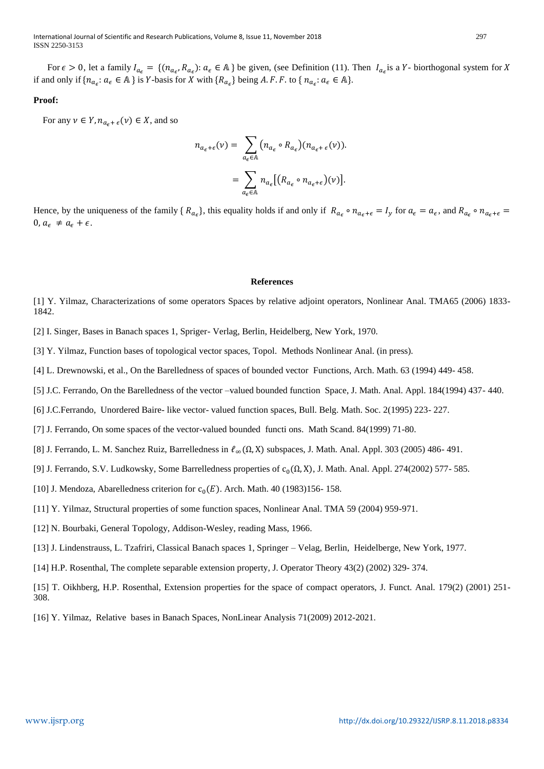International Journal of Scientific and Research Publications, Volume 8, Issue 11, November 2018 297 ISSN 2250-3153

For  $\epsilon > 0$ , let a family  $I_{a_{\epsilon}} = \{(n_{a_{\epsilon}}, R_{a_{\epsilon}}): a_{\epsilon} \in A\}$  be given, (see Definition (11). Then  $I_{a_{\epsilon}}$  is a Y- biorthogonal system for X if and only if  $\{n_{a_{\epsilon}}: a_{\epsilon} \in A\}$  is Y-basis for X with  $\{R_{a_{\epsilon}}\}$  being A. F. F. to  $\{n_{a_{\epsilon}}: a_{\epsilon} \in A\}$ .

# **Proof:**

For any  $\nu \in Y$ ,  $n_{a_{\epsilon} + \epsilon}(\nu) \in X$ , and so

$$
n_{a_{\epsilon}+\epsilon}(v) = \sum_{a_{\epsilon}\in\mathbb{A}} (n_{a_{\epsilon}} \circ R_{a_{\epsilon}})(n_{a_{\epsilon}+\epsilon}(v)).
$$
  

$$
= \sum_{a_{\epsilon}\in\mathbb{A}} n_{a_{\epsilon}} [(R_{a_{\epsilon}} \circ n_{a_{\epsilon}+\epsilon})(v)].
$$

Hence, by the uniqueness of the family  $\{R_{a_{\epsilon}}\}$ , this equality holds if and only if  $R_{a_{\epsilon}} \circ n_{a_{\epsilon}+\epsilon} = I_y$  for  $a_{\epsilon} = a_{\epsilon}$ , and  $R_{a_{\epsilon}} \circ n_{a_{\epsilon}+\epsilon} = I_y$  $0, a_{\epsilon} \neq a_{\epsilon} + \epsilon.$ 

## **References**

[1] Y. Yilmaz, Characterizations of some operators Spaces by relative adjoint operators, Nonlinear Anal. TMA65 (2006) 1833- 1842.

[2] I. Singer, Bases in Banach spaces 1, Spriger- Verlag, Berlin, Heidelberg, New York, 1970.

[3] Y. Yilmaz, Function bases of topological vector spaces, Topol. Methods Nonlinear Anal. (in press).

[4] L. Drewnowski, et al., On the Barelledness of spaces of bounded vector Functions, Arch. Math. 63 (1994) 449- 458.

[5] J.C. Ferrando, On the Barelledness of the vector –valued bounded function Space, J. Math. Anal. Appl. 184(1994) 437- 440.

[6] J.C.Ferrando, Unordered Baire- like vector- valued function spaces, Bull. Belg. Math. Soc. 2(1995) 223- 227.

[7] J. Ferrando, On some spaces of the vector-valued bounded functi ons. Math Scand. 84(1999) 71-80.

[8] J. Ferrando, L. M. Sanchez Ruiz, Barrelledness in  $\ell_{\infty}(\Omega, X)$  subspaces, J. Math. Anal. Appl. 303 (2005) 486-491.

[9] J. Ferrando, S.V. Ludkowsky, Some Barrelledness properties of  $c_0(\Omega, X)$ , J. Math. Anal. Appl. 274(2002) 577- 585.

[10] J. Mendoza, Abarelledness criterion for  $c_0(E)$ . Arch. Math. 40 (1983)156- 158.

[11] Y. Yilmaz, Structural properties of some function spaces, Nonlinear Anal. TMA 59 (2004) 959-971.

- [12] N. Bourbaki, General Topology, Addison-Wesley, reading Mass, 1966.
- [13] J. Lindenstrauss, L. Tzafriri, Classical Banach spaces 1, Springer Velag, Berlin, Heidelberge, New York, 1977.
- [14] H.P. Rosenthal, The complete separable extension property, J. Operator Theory 43(2) (2002) 329- 374.

[15] T. Oikhberg, H.P. Rosenthal, Extension properties for the space of compact operators, J. Funct. Anal. 179(2) (2001) 251- 308.

[16] Y. Yilmaz, Relative bases in Banach Spaces, NonLinear Analysis 71(2009) 2012-2021.